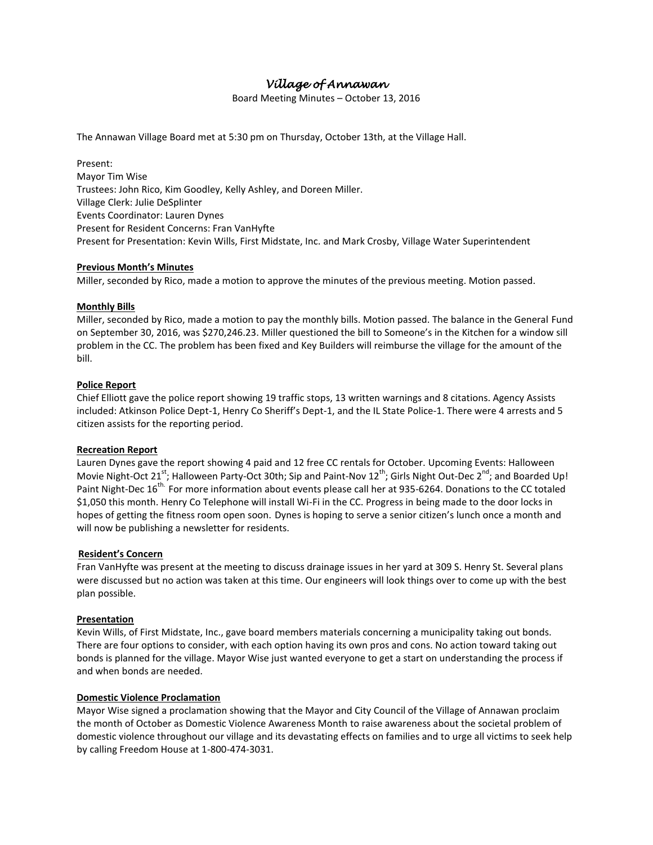# *Village of Annawan*

Board Meeting Minutes – October 13, 2016

The Annawan Village Board met at 5:30 pm on Thursday, October 13th, at the Village Hall.

Present: Mayor Tim Wise Trustees: John Rico, Kim Goodley, Kelly Ashley, and Doreen Miller. Village Clerk: Julie DeSplinter Events Coordinator: Lauren Dynes Present for Resident Concerns: Fran VanHyfte Present for Presentation: Kevin Wills, First Midstate, Inc. and Mark Crosby, Village Water Superintendent

## **Previous Month's Minutes**

Miller, seconded by Rico, made a motion to approve the minutes of the previous meeting. Motion passed.

## **Monthly Bills**

Miller, seconded by Rico, made a motion to pay the monthly bills. Motion passed. The balance in the General Fund on September 30, 2016, was \$270,246.23. Miller questioned the bill to Someone's in the Kitchen for a window sill problem in the CC. The problem has been fixed and Key Builders will reimburse the village for the amount of the bill.

## **Police Report**

Chief Elliott gave the police report showing 19 traffic stops, 13 written warnings and 8 citations. Agency Assists included: Atkinson Police Dept-1, Henry Co Sheriff's Dept-1, and the IL State Police-1. There were 4 arrests and 5 citizen assists for the reporting period.

#### **Recreation Report**

Lauren Dynes gave the report showing 4 paid and 12 free CC rentals for October. Upcoming Events: Halloween Movie Night-Oct 21<sup>st</sup>; Halloween Party-Oct 30th; Sip and Paint-Nov 12<sup>th</sup>; Girls Night Out-Dec 2<sup>nd</sup>; and Boarded Up! Paint Night-Dec 16<sup>th.</sup> For more information about events please call her at 935-6264. Donations to the CC totaled \$1,050 this month. Henry Co Telephone will install Wi-Fi in the CC. Progress in being made to the door locks in hopes of getting the fitness room open soon. Dynes is hoping to serve a senior citizen's lunch once a month and will now be publishing a newsletter for residents.

#### **Resident's Concern**

Fran VanHyfte was present at the meeting to discuss drainage issues in her yard at 309 S. Henry St. Several plans were discussed but no action was taken at this time. Our engineers will look things over to come up with the best plan possible.

#### **Presentation**

Kevin Wills, of First Midstate, Inc., gave board members materials concerning a municipality taking out bonds. There are four options to consider, with each option having its own pros and cons. No action toward taking out bonds is planned for the village. Mayor Wise just wanted everyone to get a start on understanding the process if and when bonds are needed.

#### **Domestic Violence Proclamation**

Mayor Wise signed a proclamation showing that the Mayor and City Council of the Village of Annawan proclaim the month of October as Domestic Violence Awareness Month to raise awareness about the societal problem of domestic violence throughout our village and its devastating effects on families and to urge all victims to seek help by calling Freedom House at 1-800-474-3031.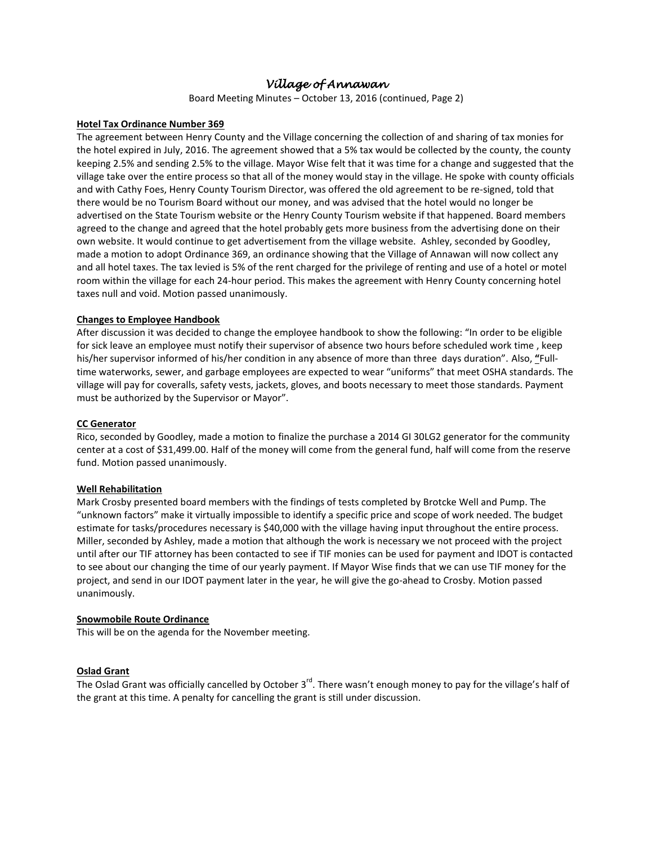## *Village of Annawan*

Board Meeting Minutes – October 13, 2016 (continued, Page 2)

#### **Hotel Tax Ordinance Number 369**

The agreement between Henry County and the Village concerning the collection of and sharing of tax monies for the hotel expired in July, 2016. The agreement showed that a 5% tax would be collected by the county, the county keeping 2.5% and sending 2.5% to the village. Mayor Wise felt that it was time for a change and suggested that the village take over the entire process so that all of the money would stay in the village. He spoke with county officials and with Cathy Foes, Henry County Tourism Director, was offered the old agreement to be re-signed, told that there would be no Tourism Board without our money, and was advised that the hotel would no longer be advertised on the State Tourism website or the Henry County Tourism website if that happened. Board members agreed to the change and agreed that the hotel probably gets more business from the advertising done on their own website. It would continue to get advertisement from the village website. Ashley, seconded by Goodley, made a motion to adopt Ordinance 369, an ordinance showing that the Village of Annawan will now collect any and all hotel taxes. The tax levied is 5% of the rent charged for the privilege of renting and use of a hotel or motel room within the village for each 24-hour period. This makes the agreement with Henry County concerning hotel taxes null and void. Motion passed unanimously.

## **Changes to Employee Handbook**

After discussion it was decided to change the employee handbook to show the following: "In order to be eligible for sick leave an employee must notify their supervisor of absence two hours before scheduled work time , keep his/her supervisor informed of his/her condition in any absence of more than three days duration". Also, **"**Fulltime waterworks, sewer, and garbage employees are expected to wear "uniforms" that meet OSHA standards. The village will pay for coveralls, safety vests, jackets, gloves, and boots necessary to meet those standards. Payment must be authorized by the Supervisor or Mayor".

#### **CC Generator**

Rico, seconded by Goodley, made a motion to finalize the purchase a 2014 GI 30LG2 generator for the community center at a cost of \$31,499.00. Half of the money will come from the general fund, half will come from the reserve fund. Motion passed unanimously.

#### **Well Rehabilitation**

Mark Crosby presented board members with the findings of tests completed by Brotcke Well and Pump. The "unknown factors" make it virtually impossible to identify a specific price and scope of work needed. The budget estimate for tasks/procedures necessary is \$40,000 with the village having input throughout the entire process. Miller, seconded by Ashley, made a motion that although the work is necessary we not proceed with the project until after our TIF attorney has been contacted to see if TIF monies can be used for payment and IDOT is contacted to see about our changing the time of our yearly payment. If Mayor Wise finds that we can use TIF money for the project, and send in our IDOT payment later in the year, he will give the go-ahead to Crosby. Motion passed unanimously.

#### **Snowmobile Route Ordinance**

This will be on the agenda for the November meeting.

## **Oslad Grant**

The Oslad Grant was officially cancelled by October  $3^{rd}$ . There wasn't enough money to pay for the village's half of the grant at this time. A penalty for cancelling the grant is still under discussion.